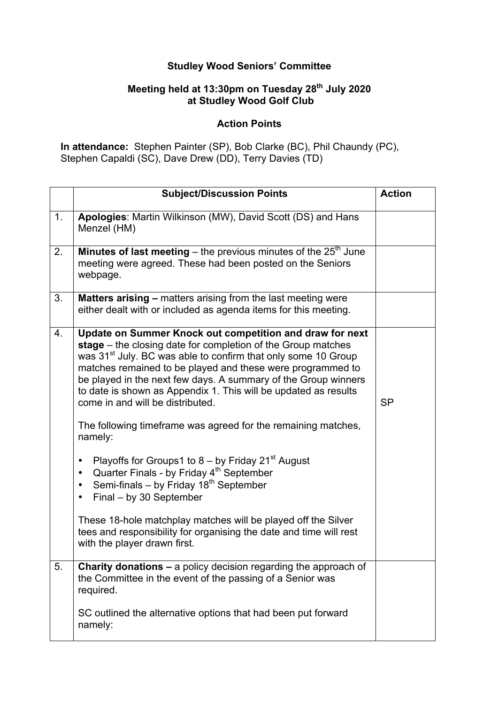## **Studley Wood Seniors' Committee**

## **Meeting held at 13:30pm on Tuesday 28th July 2020 at Studley Wood Golf Club**

## **Action Points**

**In attendance:** Stephen Painter (SP), Bob Clarke (BC), Phil Chaundy (PC), Stephen Capaldi (SC), Dave Drew (DD), Terry Davies (TD)

|    | <b>Subject/Discussion Points</b>                                                                                                                                                                                                                                                                                                                                                                                                                                                                                                                                                                                                                                                                                                                                                                                                                                                                                                                         | <b>Action</b> |
|----|----------------------------------------------------------------------------------------------------------------------------------------------------------------------------------------------------------------------------------------------------------------------------------------------------------------------------------------------------------------------------------------------------------------------------------------------------------------------------------------------------------------------------------------------------------------------------------------------------------------------------------------------------------------------------------------------------------------------------------------------------------------------------------------------------------------------------------------------------------------------------------------------------------------------------------------------------------|---------------|
| 1. | Apologies: Martin Wilkinson (MW), David Scott (DS) and Hans<br>Menzel (HM)                                                                                                                                                                                                                                                                                                                                                                                                                                                                                                                                                                                                                                                                                                                                                                                                                                                                               |               |
| 2. | <b>Minutes of last meeting</b> – the previous minutes of the $25th$ June<br>meeting were agreed. These had been posted on the Seniors<br>webpage.                                                                                                                                                                                                                                                                                                                                                                                                                                                                                                                                                                                                                                                                                                                                                                                                        |               |
| 3. | <b>Matters arising - matters arising from the last meeting were</b><br>either dealt with or included as agenda items for this meeting.                                                                                                                                                                                                                                                                                                                                                                                                                                                                                                                                                                                                                                                                                                                                                                                                                   |               |
| 4. | Update on Summer Knock out competition and draw for next<br>stage – the closing date for completion of the Group matches<br>was 31 <sup>st</sup> July. BC was able to confirm that only some 10 Group<br>matches remained to be played and these were programmed to<br>be played in the next few days. A summary of the Group winners<br>to date is shown as Appendix 1. This will be updated as results<br>come in and will be distributed.<br>The following timeframe was agreed for the remaining matches,<br>namely:<br>Playoffs for Groups1 to $8 -$ by Friday 21 <sup>st</sup> August<br>$\bullet$<br>Quarter Finals - by Friday 4 <sup>th</sup> September<br>$\bullet$<br>Semi-finals - by Friday $18^{th}$ September<br>$\bullet$<br>Final - by 30 September<br>$\bullet$<br>These 18-hole matchplay matches will be played off the Silver<br>tees and responsibility for organising the date and time will rest<br>with the player drawn first. | <b>SP</b>     |
| 5. | <b>Charity donations – a policy decision regarding the approach of</b><br>the Committee in the event of the passing of a Senior was<br>required.                                                                                                                                                                                                                                                                                                                                                                                                                                                                                                                                                                                                                                                                                                                                                                                                         |               |
|    | SC outlined the alternative options that had been put forward<br>namely:                                                                                                                                                                                                                                                                                                                                                                                                                                                                                                                                                                                                                                                                                                                                                                                                                                                                                 |               |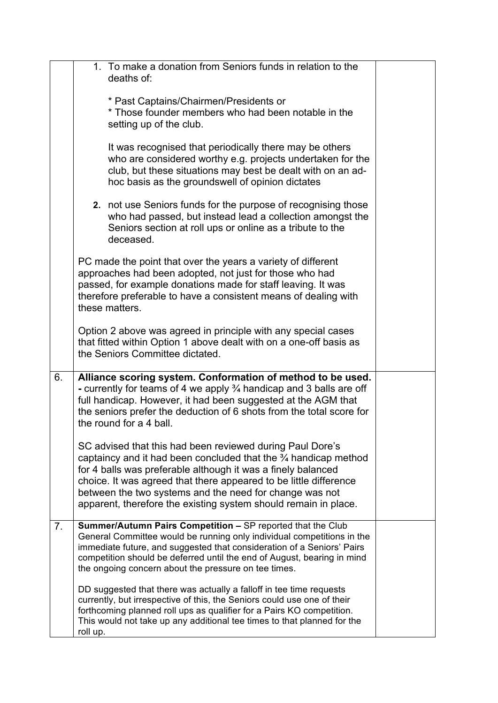|    |          | 1. To make a donation from Seniors funds in relation to the<br>deaths of:                                                                                                                                                                                                                                                                                                                                  |  |
|----|----------|------------------------------------------------------------------------------------------------------------------------------------------------------------------------------------------------------------------------------------------------------------------------------------------------------------------------------------------------------------------------------------------------------------|--|
|    |          | * Past Captains/Chairmen/Presidents or<br>* Those founder members who had been notable in the<br>setting up of the club.                                                                                                                                                                                                                                                                                   |  |
|    |          | It was recognised that periodically there may be others<br>who are considered worthy e.g. projects undertaken for the<br>club, but these situations may best be dealt with on an ad-<br>hoc basis as the groundswell of opinion dictates                                                                                                                                                                   |  |
|    |          | 2. not use Seniors funds for the purpose of recognising those<br>who had passed, but instead lead a collection amongst the<br>Seniors section at roll ups or online as a tribute to the<br>deceased.                                                                                                                                                                                                       |  |
|    |          | PC made the point that over the years a variety of different<br>approaches had been adopted, not just for those who had<br>passed, for example donations made for staff leaving. It was<br>therefore preferable to have a consistent means of dealing with<br>these matters.                                                                                                                               |  |
|    |          | Option 2 above was agreed in principle with any special cases<br>that fitted within Option 1 above dealt with on a one-off basis as<br>the Seniors Committee dictated.                                                                                                                                                                                                                                     |  |
| 6. |          | Alliance scoring system. Conformation of method to be used.<br>- currently for teams of 4 we apply $\frac{3}{4}$ handicap and 3 balls are off<br>full handicap. However, it had been suggested at the AGM that<br>the seniors prefer the deduction of 6 shots from the total score for<br>the round for a 4 ball.                                                                                          |  |
|    |          | SC advised that this had been reviewed during Paul Dore's<br>captaincy and it had been concluded that the $\frac{3}{4}$ handicap method<br>for 4 balls was preferable although it was a finely balanced<br>choice. It was agreed that there appeared to be little difference<br>between the two systems and the need for change was not<br>apparent, therefore the existing system should remain in place. |  |
| 7. |          | Summer/Autumn Pairs Competition - SP reported that the Club<br>General Committee would be running only individual competitions in the<br>immediate future, and suggested that consideration of a Seniors' Pairs<br>competition should be deferred until the end of August, bearing in mind<br>the ongoing concern about the pressure on tee times.                                                         |  |
|    | roll up. | DD suggested that there was actually a falloff in tee time requests<br>currently, but irrespective of this, the Seniors could use one of their<br>forthcoming planned roll ups as qualifier for a Pairs KO competition.<br>This would not take up any additional tee times to that planned for the                                                                                                         |  |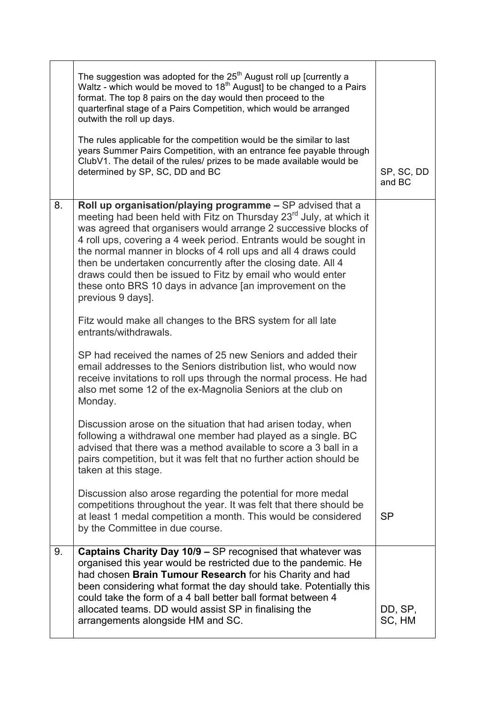|    | The suggestion was adopted for the $25th$ August roll up [currently a<br>Waltz - which would be moved to 18 <sup>th</sup> August] to be changed to a Pairs<br>format. The top 8 pairs on the day would then proceed to the<br>quarterfinal stage of a Pairs Competition, which would be arranged<br>outwith the roll up days.<br>The rules applicable for the competition would be the similar to last<br>years Summer Pairs Competition, with an entrance fee payable through<br>ClubV1. The detail of the rules/ prizes to be made available would be<br>determined by SP, SC, DD and BC | SP, SC, DD<br>and BC |
|----|--------------------------------------------------------------------------------------------------------------------------------------------------------------------------------------------------------------------------------------------------------------------------------------------------------------------------------------------------------------------------------------------------------------------------------------------------------------------------------------------------------------------------------------------------------------------------------------------|----------------------|
| 8. | Roll up organisation/playing programme - SP advised that a<br>meeting had been held with Fitz on Thursday 23 <sup>rd</sup> July, at which it<br>was agreed that organisers would arrange 2 successive blocks of<br>4 roll ups, covering a 4 week period. Entrants would be sought in<br>the normal manner in blocks of 4 roll ups and all 4 draws could<br>then be undertaken concurrently after the closing date. All 4<br>draws could then be issued to Fitz by email who would enter<br>these onto BRS 10 days in advance [an improvement on the<br>previous 9 days].                   |                      |
|    | Fitz would make all changes to the BRS system for all late<br>entrants/withdrawals.<br>SP had received the names of 25 new Seniors and added their<br>email addresses to the Seniors distribution list, who would now<br>receive invitations to roll ups through the normal process. He had<br>also met some 12 of the ex-Magnolia Seniors at the club on                                                                                                                                                                                                                                  |                      |
|    | Monday.<br>Discussion arose on the situation that had arisen today, when<br>following a withdrawal one member had played as a single. BC<br>advised that there was a method available to score a 3 ball in a<br>pairs competition, but it was felt that no further action should be<br>taken at this stage.                                                                                                                                                                                                                                                                                |                      |
|    | Discussion also arose regarding the potential for more medal<br>competitions throughout the year. It was felt that there should be<br>at least 1 medal competition a month. This would be considered<br>by the Committee in due course.                                                                                                                                                                                                                                                                                                                                                    | <b>SP</b>            |
| 9. | Captains Charity Day 10/9 - SP recognised that whatever was<br>organised this year would be restricted due to the pandemic. He<br>had chosen Brain Tumour Research for his Charity and had<br>been considering what format the day should take. Potentially this<br>could take the form of a 4 ball better ball format between 4<br>allocated teams. DD would assist SP in finalising the<br>arrangements alongside HM and SC.                                                                                                                                                             | DD, SP,<br>SC, HM    |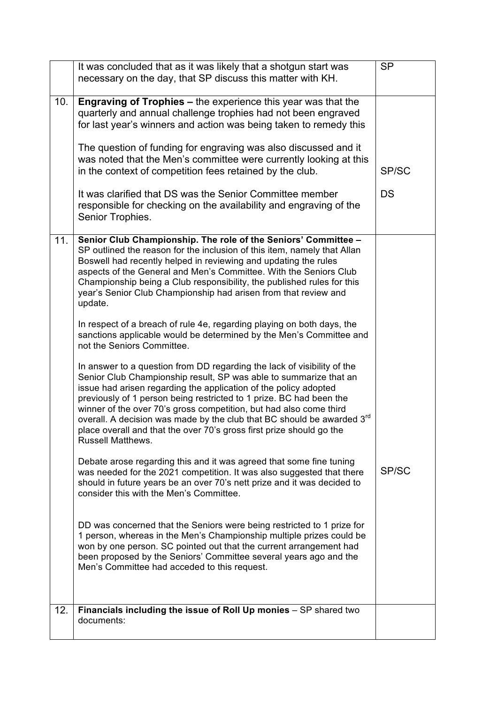|     | It was concluded that as it was likely that a shotgun start was<br>necessary on the day, that SP discuss this matter with KH.                                                                                                                                                                                                                                                                                                                                                                                                               | <b>SP</b> |
|-----|---------------------------------------------------------------------------------------------------------------------------------------------------------------------------------------------------------------------------------------------------------------------------------------------------------------------------------------------------------------------------------------------------------------------------------------------------------------------------------------------------------------------------------------------|-----------|
| 10. | <b>Engraving of Trophies - the experience this year was that the</b><br>quarterly and annual challenge trophies had not been engraved<br>for last year's winners and action was being taken to remedy this                                                                                                                                                                                                                                                                                                                                  |           |
|     | The question of funding for engraving was also discussed and it<br>was noted that the Men's committee were currently looking at this<br>in the context of competition fees retained by the club.                                                                                                                                                                                                                                                                                                                                            | SP/SC     |
|     | It was clarified that DS was the Senior Committee member<br>responsible for checking on the availability and engraving of the<br>Senior Trophies.                                                                                                                                                                                                                                                                                                                                                                                           | <b>DS</b> |
| 11. | Senior Club Championship. The role of the Seniors' Committee -<br>SP outlined the reason for the inclusion of this item, namely that Allan<br>Boswell had recently helped in reviewing and updating the rules<br>aspects of the General and Men's Committee. With the Seniors Club<br>Championship being a Club responsibility, the published rules for this<br>year's Senior Club Championship had arisen from that review and<br>update.                                                                                                  |           |
|     | In respect of a breach of rule 4e, regarding playing on both days, the<br>sanctions applicable would be determined by the Men's Committee and<br>not the Seniors Committee.                                                                                                                                                                                                                                                                                                                                                                 |           |
|     | In answer to a question from DD regarding the lack of visibility of the<br>Senior Club Championship result, SP was able to summarize that an<br>issue had arisen regarding the application of the policy adopted<br>previously of 1 person being restricted to 1 prize. BC had been the<br>winner of the over 70's gross competition, but had also come third<br>overall. A decision was made by the club that BC should be awarded 3rd<br>place overall and that the over 70's gross first prize should go the<br><b>Russell Matthews.</b> |           |
|     | Debate arose regarding this and it was agreed that some fine tuning<br>was needed for the 2021 competition. It was also suggested that there<br>should in future years be an over 70's nett prize and it was decided to<br>consider this with the Men's Committee.                                                                                                                                                                                                                                                                          | SP/SC     |
|     | DD was concerned that the Seniors were being restricted to 1 prize for<br>1 person, whereas in the Men's Championship multiple prizes could be<br>won by one person. SC pointed out that the current arrangement had<br>been proposed by the Seniors' Committee several years ago and the<br>Men's Committee had acceded to this request.                                                                                                                                                                                                   |           |
| 12. | Financials including the issue of Roll Up monies - SP shared two<br>documents:                                                                                                                                                                                                                                                                                                                                                                                                                                                              |           |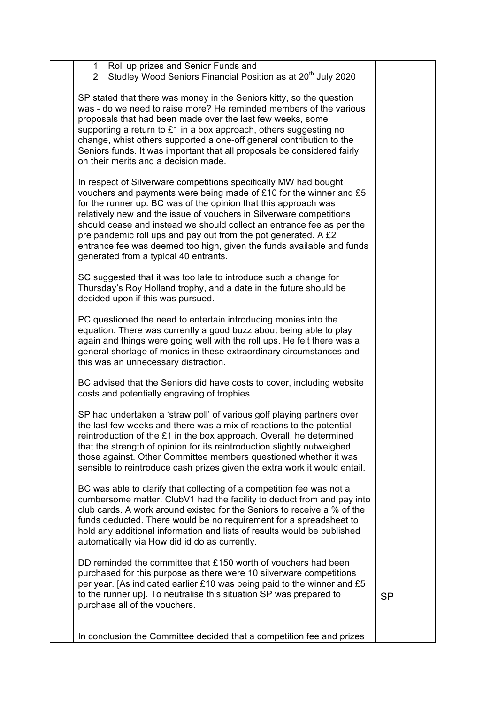| Roll up prizes and Senior Funds and<br>1<br>Studley Wood Seniors Financial Position as at 20 <sup>th</sup> July 2020<br>$\overline{2}$                                                                                                                                                                                                                                                                                                                                                                                                        |           |
|-----------------------------------------------------------------------------------------------------------------------------------------------------------------------------------------------------------------------------------------------------------------------------------------------------------------------------------------------------------------------------------------------------------------------------------------------------------------------------------------------------------------------------------------------|-----------|
| SP stated that there was money in the Seniors kitty, so the question<br>was - do we need to raise more? He reminded members of the various<br>proposals that had been made over the last few weeks, some<br>supporting a return to £1 in a box approach, others suggesting no<br>change, whist others supported a one-off general contribution to the<br>Seniors funds. It was important that all proposals be considered fairly<br>on their merits and a decision made.                                                                      |           |
| In respect of Silverware competitions specifically MW had bought<br>vouchers and payments were being made of £10 for the winner and £5<br>for the runner up. BC was of the opinion that this approach was<br>relatively new and the issue of vouchers in Silverware competitions<br>should cease and instead we should collect an entrance fee as per the<br>pre pandemic roll ups and pay out from the pot generated. A £2<br>entrance fee was deemed too high, given the funds available and funds<br>generated from a typical 40 entrants. |           |
| SC suggested that it was too late to introduce such a change for<br>Thursday's Roy Holland trophy, and a date in the future should be<br>decided upon if this was pursued.                                                                                                                                                                                                                                                                                                                                                                    |           |
| PC questioned the need to entertain introducing monies into the<br>equation. There was currently a good buzz about being able to play<br>again and things were going well with the roll ups. He felt there was a<br>general shortage of monies in these extraordinary circumstances and<br>this was an unnecessary distraction.                                                                                                                                                                                                               |           |
| BC advised that the Seniors did have costs to cover, including website<br>costs and potentially engraving of trophies.                                                                                                                                                                                                                                                                                                                                                                                                                        |           |
| SP had undertaken a 'straw poll' of various golf playing partners over<br>the last few weeks and there was a mix of reactions to the potential<br>reintroduction of the £1 in the box approach. Overall, he determined<br>that the strength of opinion for its reintroduction slightly outweighed<br>those against. Other Committee members questioned whether it was<br>sensible to reintroduce cash prizes given the extra work it would entail.                                                                                            |           |
| BC was able to clarify that collecting of a competition fee was not a<br>cumbersome matter. ClubV1 had the facility to deduct from and pay into<br>club cards. A work around existed for the Seniors to receive a % of the<br>funds deducted. There would be no requirement for a spreadsheet to<br>hold any additional information and lists of results would be published<br>automatically via How did id do as currently.                                                                                                                  |           |
| DD reminded the committee that £150 worth of vouchers had been<br>purchased for this purpose as there were 10 silverware competitions<br>per year. [As indicated earlier £10 was being paid to the winner and £5<br>to the runner up]. To neutralise this situation SP was prepared to<br>purchase all of the vouchers.                                                                                                                                                                                                                       | <b>SP</b> |
| In conclusion the Committee decided that a competition fee and prizes                                                                                                                                                                                                                                                                                                                                                                                                                                                                         |           |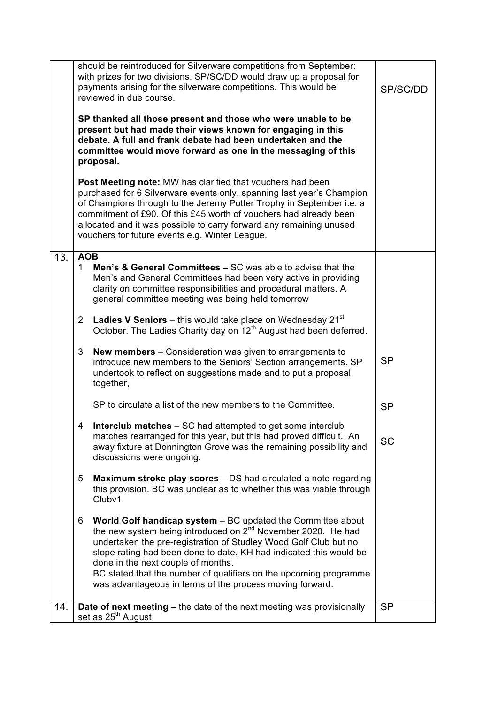|     | should be reintroduced for Silverware competitions from September:<br>with prizes for two divisions. SP/SC/DD would draw up a proposal for<br>payments arising for the silverware competitions. This would be<br>reviewed in due course.                                                                                                                                                                                                                      | SP/SC/DD  |
|-----|---------------------------------------------------------------------------------------------------------------------------------------------------------------------------------------------------------------------------------------------------------------------------------------------------------------------------------------------------------------------------------------------------------------------------------------------------------------|-----------|
|     | SP thanked all those present and those who were unable to be<br>present but had made their views known for engaging in this<br>debate. A full and frank debate had been undertaken and the<br>committee would move forward as one in the messaging of this<br>proposal.                                                                                                                                                                                       |           |
|     | Post Meeting note: MW has clarified that vouchers had been<br>purchased for 6 Silverware events only, spanning last year's Champion<br>of Champions through to the Jeremy Potter Trophy in September i.e. a<br>commitment of £90. Of this £45 worth of vouchers had already been<br>allocated and it was possible to carry forward any remaining unused<br>vouchers for future events e.g. Winter League.                                                     |           |
| 13. | <b>AOB</b>                                                                                                                                                                                                                                                                                                                                                                                                                                                    |           |
|     | <b>Men's &amp; General Committees – SC was able to advise that the</b><br>$\mathbf 1$<br>Men's and General Committees had been very active in providing<br>clarity on committee responsibilities and procedural matters. A<br>general committee meeting was being held tomorrow                                                                                                                                                                               |           |
|     | <b>Ladies V Seniors</b> – this would take place on Wednesday $21^{st}$<br>$\overline{2}$<br>October. The Ladies Charity day on 12 <sup>th</sup> August had been deferred.                                                                                                                                                                                                                                                                                     |           |
|     | 3<br><b>New members</b> – Consideration was given to arrangements to<br>introduce new members to the Seniors' Section arrangements. SP<br>undertook to reflect on suggestions made and to put a proposal<br>together,                                                                                                                                                                                                                                         | <b>SP</b> |
|     | SP to circulate a list of the new members to the Committee.                                                                                                                                                                                                                                                                                                                                                                                                   | <b>SP</b> |
|     | <b>Interclub matches</b> – SC had attempted to get some interclub<br>4<br>matches rearranged for this year, but this had proved difficult. An<br>away fixture at Donnington Grove was the remaining possibility and<br>discussions were ongoing.                                                                                                                                                                                                              | <b>SC</b> |
|     | 5<br><b>Maximum stroke play scores</b> – DS had circulated a note regarding<br>this provision. BC was unclear as to whether this was viable through<br>Clubv1.                                                                                                                                                                                                                                                                                                |           |
|     | World Golf handicap system - BC updated the Committee about<br>6<br>the new system being introduced on 2 <sup>nd</sup> November 2020. He had<br>undertaken the pre-registration of Studley Wood Golf Club but no<br>slope rating had been done to date. KH had indicated this would be<br>done in the next couple of months.<br>BC stated that the number of qualifiers on the upcoming programme<br>was advantageous in terms of the process moving forward. |           |
| 14. | Date of next meeting - the date of the next meeting was provisionally<br>set as 25 <sup>th</sup> August                                                                                                                                                                                                                                                                                                                                                       | <b>SP</b> |